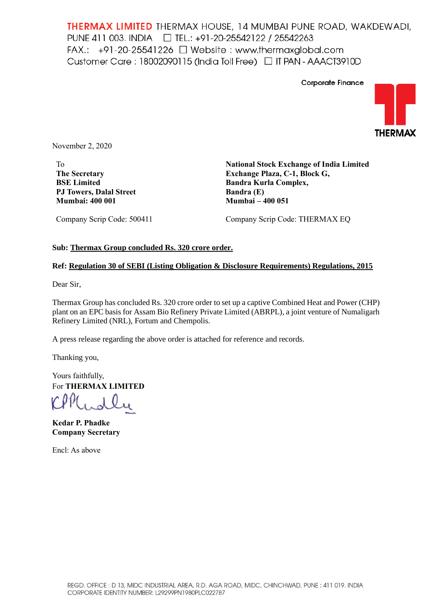**THERMAX LIMITED** THERMAX HOUSE, 14 MUMBAI PUNE ROAD, WAKDEWADI, PUNE 411 003. INDIA □ TEL.: +91-20-25542122 / 25542263 FAX.:  $+91-20-25541226$   $\Box$  Website : www.thermaxglobal.com Customer Care: 18002090115 (India Toll Free) □ IT PAN - AAACT3910D



November 2, 2020

To **The Secretary BSE Limited PJ Towers, Dalal Street Mumbai: 400 001**

**National Stock Exchange of India Limited Exchange Plaza, C-1, Block G, Bandra Kurla Complex, Bandra (E) Mumbai – 400 051**

**Corporate Finance** 

Company Scrip Code: 500411

Company Scrip Code: THERMAX EQ

## **Sub: Thermax Group concluded Rs. 320 crore order.**

## **Ref: Regulation 30 of SEBI (Listing Obligation & Disclosure Requirements) Regulations, 2015**

Dear Sir,

Thermax Group has concluded Rs. 320 crore order to set up a captive Combined Heat and Power (CHP) plant on an EPC basis for Assam Bio Refinery Private Limited (ABRPL), a joint venture of Numaligarh Refinery Limited (NRL), Fortum and Chempolis.

A press release regarding the above order is attached for reference and records.

Thanking you,

Yours faithfully, For **THERMAX LIMITED**

**Kedar P. Phadke Company Secretary**

Encl: As above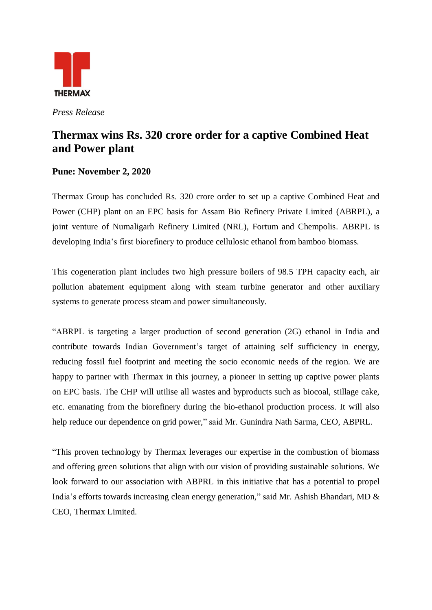

*Press Release*

## **Thermax wins Rs. 320 crore order for a captive Combined Heat and Power plant**

## **Pune: November 2, 2020**

Thermax Group has concluded Rs. 320 crore order to set up a captive Combined Heat and Power (CHP) plant on an EPC basis for Assam Bio Refinery Private Limited (ABRPL), a joint venture of Numaligarh Refinery Limited (NRL), Fortum and Chempolis. ABRPL is developing India's first biorefinery to produce cellulosic ethanol from bamboo biomass.

This cogeneration plant includes two high pressure boilers of 98.5 TPH capacity each, air pollution abatement equipment along with steam turbine generator and other auxiliary systems to generate process steam and power simultaneously.

"ABRPL is targeting a larger production of second generation (2G) ethanol in India and contribute towards Indian Government's target of attaining self sufficiency in energy, reducing fossil fuel footprint and meeting the socio economic needs of the region. We are happy to partner with Thermax in this journey, a pioneer in setting up captive power plants on EPC basis. The CHP will utilise all wastes and byproducts such as biocoal, stillage cake, etc. emanating from the biorefinery during the bio-ethanol production process. It will also help reduce our dependence on grid power," said Mr. Gunindra Nath Sarma, CEO, ABPRL.

"This proven technology by Thermax leverages our expertise in the combustion of biomass and offering green solutions that align with our vision of providing sustainable solutions. We look forward to our association with ABPRL in this initiative that has a potential to propel India's efforts towards increasing clean energy generation," said Mr. Ashish Bhandari, MD & CEO, Thermax Limited.